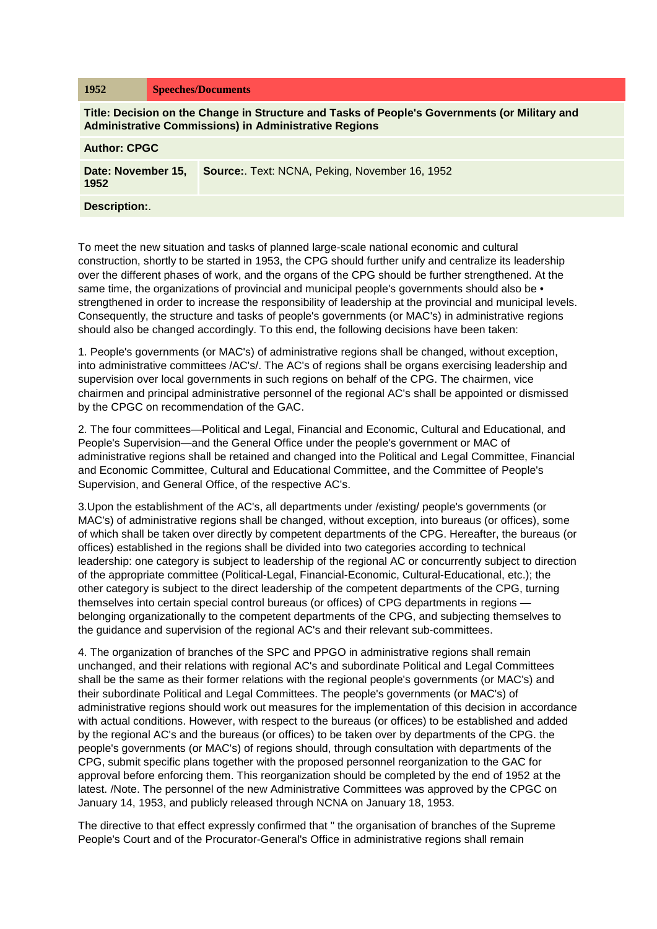| 1952                                                                                                                                                          |  | <b>Speeches/Documents</b>                            |
|---------------------------------------------------------------------------------------------------------------------------------------------------------------|--|------------------------------------------------------|
| Title: Decision on the Change in Structure and Tasks of People's Governments (or Military and<br><b>Administrative Commissions) in Administrative Regions</b> |  |                                                      |
| <b>Author: CPGC</b>                                                                                                                                           |  |                                                      |
| Date: November 15,<br>1952                                                                                                                                    |  | <b>Source:</b> Text: NCNA, Peking, November 16, 1952 |
| <b>Description:.</b>                                                                                                                                          |  |                                                      |

To meet the new situation and tasks of planned large-scale national economic and cultural construction, shortly to be started in 1953, the CPG should further unify and centralize its leadership over the different phases of work, and the organs of the CPG should be further strengthened. At the same time, the organizations of provincial and municipal people's governments should also be  $\bullet$ strengthened in order to increase the responsibility of leadership at the provincial and municipal levels. Consequently, the structure and tasks of people's governments (or MAC's) in administrative regions should also be changed accordingly. To this end, the following decisions have been taken:

1. People's governments (or MAC's) of administrative regions shall be changed, without exception, into administrative committees /AC's/. The AC's of regions shall be organs exercising leadership and supervision over local governments in such regions on behalf of the CPG. The chairmen, vice chairmen and principal administrative personnel of the regional AC's shall be appointed or dismissed by the CPGC on recommendation of the GAC.

2. The four committees—Political and Legal, Financial and Economic, Cultural and Educational, and People's Supervision—and the General Office under the people's government or MAC of administrative regions shall be retained and changed into the Political and Legal Committee, Financial and Economic Committee, Cultural and Educational Committee, and the Committee of People's Supervision, and General Office, of the respective AC's.

3.Upon the establishment of the AC's, all departments under /existing/ people's governments (or MAC's) of administrative regions shall be changed, without exception, into bureaus (or offices), some of which shall be taken over directly by competent departments of the CPG. Hereafter, the bureaus (or offices) established in the regions shall be divided into two categories according to technical leadership: one category is subject to leadership of the regional AC or concurrently subject to direction of the appropriate committee (Political-Legal, Financial-Economic, Cultural-Educational, etc.); the other category is subject to the direct leadership of the competent departments of the CPG, turning themselves into certain special control bureaus (or offices) of CPG departments in regions belonging organizationally to the competent departments of the CPG, and subjecting themselves to the guidance and supervision of the regional AC's and their relevant sub-committees.

4. The organization of branches of the SPC and PPGO in administrative regions shall remain unchanged, and their relations with regional AC's and subordinate Political and Legal Committees shall be the same as their former relations with the regional people's governments (or MAC's) and their subordinate Political and Legal Committees. The people's governments (or MAC's) of administrative regions should work out measures for the implementation of this decision in accordance with actual conditions. However, with respect to the bureaus (or offices) to be established and added by the regional AC's and the bureaus (or offices) to be taken over by departments of the CPG. the people's governments (or MAC's) of regions should, through consultation with departments of the CPG, submit specific plans together with the proposed personnel reorganization to the GAC for approval before enforcing them. This reorganization should be completed by the end of 1952 at the latest. /Note. The personnel of the new Administrative Committees was approved by the CPGC on January 14, 1953, and publicly released through NCNA on January 18, 1953.

The directive to that effect expressly confirmed that " the organisation of branches of the Supreme People's Court and of the Procurator-General's Office in administrative regions shall remain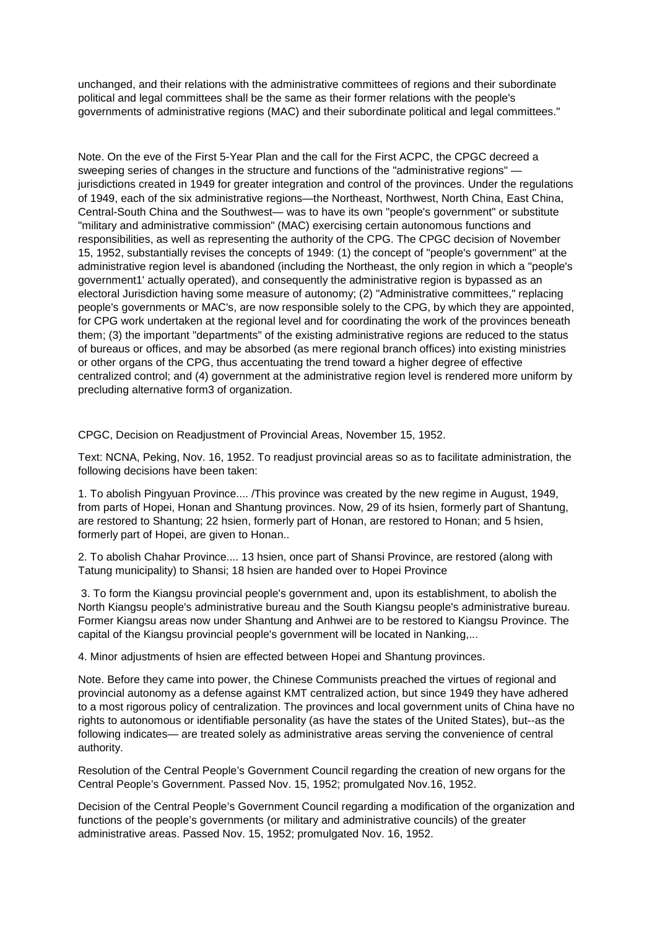unchanged, and their relations with the administrative committees of regions and their subordinate political and legal committees shall be the same as their former relations with the people's governments of administrative regions (MAC) and their subordinate political and legal committees."

Note. On the eve of the First 5-Year Plan and the call for the First ACPC, the CPGC decreed a sweeping series of changes in the structure and functions of the "administrative regions" jurisdictions created in 1949 for greater integration and control of the provinces. Under the regulations of 1949, each of the six administrative regions—the Northeast, Northwest, North China, East China, Central-South China and the Southwest— was to have its own "people's government" or substitute "military and administrative commission" (MAC) exercising certain autonomous functions and responsibilities, as well as representing the authority of the CPG. The CPGC decision of November 15, 1952, substantially revises the concepts of 1949: (1) the concept of "people's government" at the administrative region level is abandoned (including the Northeast, the only region in which a "people's government1' actually operated), and consequently the administrative region is bypassed as an electoral Jurisdiction having some measure of autonomy; (2) "Administrative committees," replacing people's governments or MAC's, are now responsible solely to the CPG, by which they are appointed, for CPG work undertaken at the regional level and for coordinating the work of the provinces beneath them; (3) the important "departments" of the existing administrative regions are reduced to the status of bureaus or offices, and may be absorbed (as mere regional branch offices) into existing ministries or other organs of the CPG, thus accentuating the trend toward a higher degree of effective centralized control; and (4) government at the administrative region level is rendered more uniform by precluding alternative form3 of organization.

CPGC, Decision on Readjustment of Provincial Areas, November 15, 1952.

Text: NCNA, Peking, Nov. 16, 1952. To readjust provincial areas so as to facilitate administration, the following decisions have been taken:

1. To abolish Pingyuan Province.... /This province was created by the new regime in August, 1949, from parts of Hopei, Honan and Shantung provinces. Now, 29 of its hsien, formerly part of Shantung, are restored to Shantung; 22 hsien, formerly part of Honan, are restored to Honan; and 5 hsien, formerly part of Hopei, are given to Honan..

2. To abolish Chahar Province.... 13 hsien, once part of Shansi Province, are restored (along with Tatung municipality) to Shansi; 18 hsien are handed over to Hopei Province

3. To form the Kiangsu provincial people's government and, upon its establishment, to abolish the North Kiangsu people's administrative bureau and the South Kiangsu people's administrative bureau. Former Kiangsu areas now under Shantung and Anhwei are to be restored to Kiangsu Province. The capital of the Kiangsu provincial people's government will be located in Nanking,...

4. Minor adjustments of hsien are effected between Hopei and Shantung provinces.

Note. Before they came into power, the Chinese Communists preached the virtues of regional and provincial autonomy as a defense against KMT centralized action, but since 1949 they have adhered to a most rigorous policy of centralization. The provinces and local government units of China have no rights to autonomous or identifiable personality (as have the states of the United States), but--as the following indicates— are treated solely as administrative areas serving the convenience of central authority.

Resolution of the Central People's Government Council regarding the creation of new organs for the Central People's Government. Passed Nov. 15, 1952; promulgated Nov.16, 1952.

Decision of the Central People's Government Council regarding a modification of the organization and functions of the people's governments (or military and administrative councils) of the greater administrative areas. Passed Nov. 15, 1952; promulgated Nov. 16, 1952.